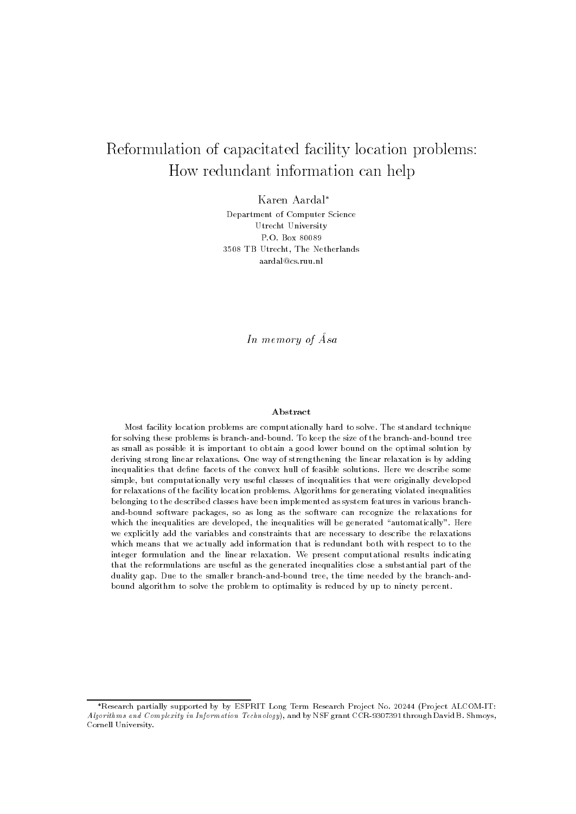# Reformulation of capacitated facility location problems: How redundant information can help

Karen Aardal

Department of Computer Science Utrecht University P.O. Box 80089 3508 TB Utrecht, The Netherlands aardal@cs.ruu.nl

In memory of Asa

### Abstract

Most facility location problems are computationally hard to solve. The standard technique for solving these problems is branch-and-bound. To keep the size of the branch-and-bound tree as small as possible it is important to obtain a good lower bound on the optimal solution by deriving strong linear relaxations. One way of strengthening the linear relaxation is by adding inequalities that define facets of the convex hull of feasible solutions. Here we describe some simple, but computationally very useful classes of inequalities that were originally developed for relaxations of the facility location problems. Algorithms for generating violated inequalities belonging to the described classes have been implemented as system features in various branchand-bound software packages, so as long as the software can recognize the relaxations for which the inequalities are developed, the inequalities will be generated "automatically". Here we explicitly add the variables and constraints that are necessary to describe the relaxations which means that we actually add information that is redundant both with respect to to the integer formulation and the linear relaxation. We present computational results indicating that the reformulations are useful as the generated inequalities close a substantial part of the duality gap. Due to the smaller branch-and-bound tree, the time needed by the branch-andbound algorithm to solve the problem to optimality is reduced by up to ninety percent.

<sup>\*</sup>Research partially supported by by ESPRIT Long Term Research Project No. 20244 (Project ALCOM-IT: Algorithms and Complexity in Information Technology), and by NSF grant CCR-9307391 through David B. Shmoys, Cornell University.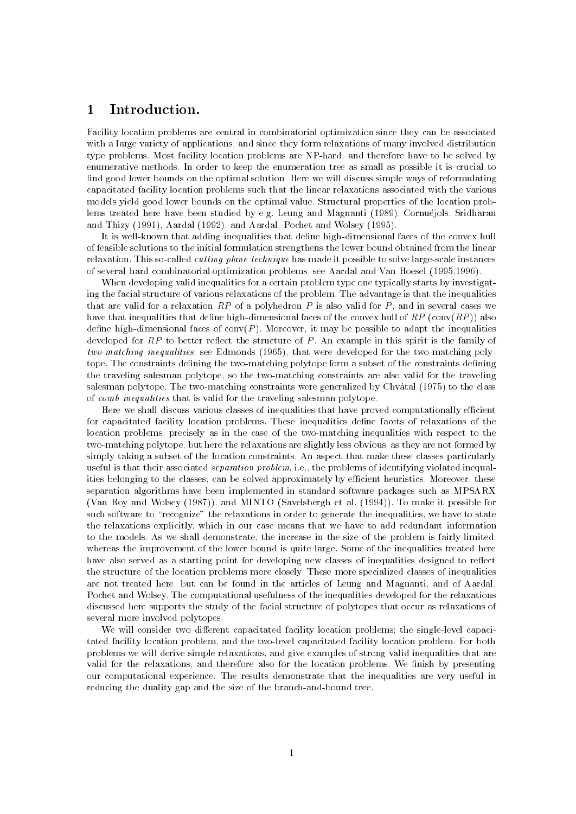#### 1Introduction.

Facility location problems are central in combinatorial optimization since they can be associated with a large variety of applications, and since they form relaxations of many involved distribution type problems. Most facility location problems are NP-hard, and therefore have to be solved by enumerative methods. In order to keep the enumeration tree as small as possible it is crucial to find good lower bounds on the optimal solution. Here we will discuss simple ways of reformulating capacitated facility location problems such that the linear relaxations associated with the various models yield good lower bounds on the optimal value. Structural properties of the location problems treated here have been studied by e.g. Leung and Magnanti (1989), Cornuéjols, Sridharan and Thizy (1991), Aardal (1992), and Aardal, Pochet and Wolsey (1995).

It is well-known that adding inequalities that define high-dimensional faces of the convex hull of feasible solutions to the initial formulation strengthens the lower bound obtained from the linear relaxation. This so-called cutting plane technique has made it possible to solve large-scale instances of several hard combinatorial optimization problems, see Aardal and Van Hoesel (1995,1996).

When developing valid inequalities for a certain problem type one typically starts by investigating the facial structure of various relaxations of the problem. The advantage is that the inequalities that are valid for a relaxation  $RP$  of a polyhedron P is also valid for P, and in several cases we have that inequalities that define high-dimensional faces of the convex hull of  $RP$  (conv $(RP)$ ) also define high-dimensional faces of conv( $P$ ). Moreover, it may be possible to adapt the inequalities developed for  $RP$  to better reflect the structure of P. An example in this spirit is the family of two-matching inequalities, see Edmonds (1965), that were developed for the two-matching polytope. The constraints defining the two-matching polytope form a subset of the constraints defining the traveling salesman polytope, so the two-matching constraints are also valid for the traveling salesman polytope. The two-matching constraints were generalized by Chvatal (1975) to the class of comb inequalities that is valid for the traveling salesman polytope.

Here we shall discuss various classes of inequalities that have proved computationally efficient for capacitated facility location problems. These inequalities dene facets of relaxations of the location problems, precisely as in the case of the two-matching inequalities with respect to the two-matching polytope, but here the relaxations are slightly less obvious, as they are not formed by simply taking a subset of the location constraints. An aspect that make these classes particularly useful is that their associated *separation problem*, i.e., the problems of identifying violated inequalities belonging to the classes, can be solved approximately by efficient heuristics. Moreover, these separation algorithms have been implemented in standard software packages such as MPSARX (Van Roy and Wolsey (1987)), and MINTO (Savelsbergh et al. (1994)). To make it possible for such software to "recognize" the relaxations in order to generate the inequalities, we have to state the relaxations explicitly, which in our case means that we have to add redundant information to the models. As we shall demonstrate, the increase in the size of the problem is fairly limited, whereas the improvement of the lower bound is quite large. Some of the inequalities treated here have also served as a starting point for developing new classes of inequalities designed to reflect the structure of the location problems more closely. These more specialized classes of inequalities are not treated here, but can be found in the articles of Leung and Magnanti, and of Aardal, Pochet and Wolsey. The computational usefulness of the inequalities developed for the relaxations discussed here supports the study of the facial structure of polytopes that occur as relaxations of several more involved polytopes.

We will consider two different capacitated facility location problems; the single-level capacitated facility location problem, and the two-level capacitated facility location problem. For both problems we will derive simple relaxations, and give examples of strong valid inequalities that are valid for the relaxations, and therefore also for the location problems. We finish by presenting our computational experience. The results demonstrate that the inequalities are very useful in reducing the duality gap and the size of the branch-and-bound tree.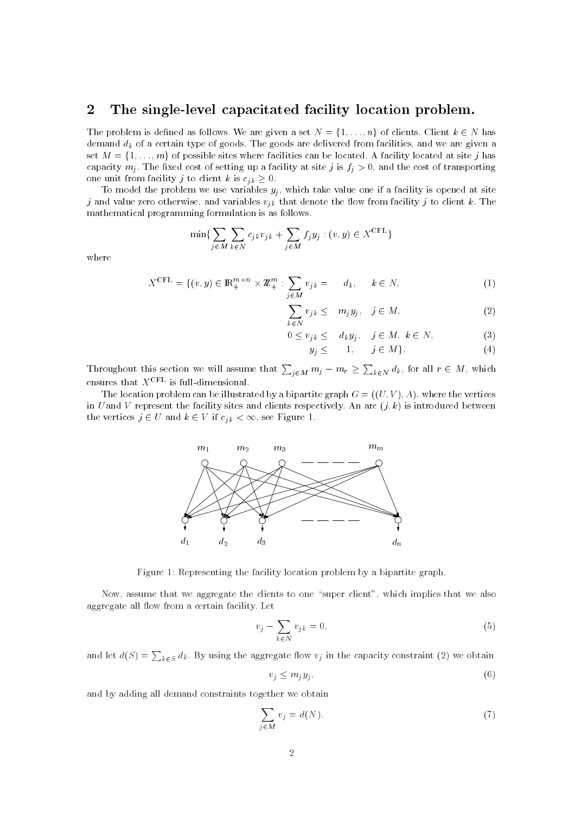#### 2The single-level capacitated facility location problem.

The problem is defined as follows. We are given a set  $N = \{1, \ldots, n\}$  of clients. Client  $k \in N$  has demand  $d_k$  of a certain type of goods. The goods are delivered from facilities, and we are given a set  $M = \{1, \ldots, m\}$  of possible sites where facilities can be located. A facility located at site j has capacity  $m_j$ . The fixed cost of setting up a facility at site j is  $f_j > 0$ , and the cost of transporting one unit from facility j to client k is  $c_{j,k} \geq 0$ .

To model the problem we use variables  $y_j$ , which take value one if a facility is opened at site j and value zero otherwise, and variables  $v_{jk}$  that denote the flow from facility j to client k. The mathematical programming formulation is as follows.

$$
\min \{ \sum_{j \in M} \sum_{k \in N} c_{jk} v_{jk} + \sum_{j \in M} f_j y_j : (v, y) \in X^{\text{CFL}} \}
$$

where

$$
X^{\text{CFL}} = \{ (v, y) \in \mathbb{R}_+^{m \times n} \times \mathbb{Z}_+^m : \sum_{j \in M} v_{jk} = d_k, \quad k \in N,
$$
 (1)

$$
\sum_{k \in N} v_{j k} \leq m_j y_j, \quad j \in M,
$$
\n<sup>(2)</sup>

$$
0 \le v_{jk} \le d_k y_j, \quad j \in M, \ k \in N,
$$
 (3)

$$
y_j \leq 1, \quad j \in M \}.
$$
 (4)

Throughout this section we will assume that  $\sum_{j\in M} m_j - m_r \ge \sum_{k\in N} d_k$ , for all  $r \in M$ , which ensures that  $X^{\text{CFL}}$  is full-dimensional.

The location problem can be illustrated by a bipartite graph  $G = ((U, V), A)$ , where the vertices in U and V represent the facility sites and clients respectively. An arc  $(j, k)$  is introduced between the vertices  $j \in U$  and  $k \in V$  if  $c_{jk} < \infty$ , see Figure 1.



Figure 1: Representing the facility location problem by a bipartite graph.

Now, assume that we aggregate the clients to one "super client", which implies that we also aggregate all flow from a certain facility. Let

$$
v_j - \sum_{k \in N} v_{jk} = 0,\tag{5}
$$

and let  $d(S) = \sum_{k \in S} d_k$ . By using the aggregate flow  $v_j$  in the capacity constraint (2) we obtain

$$
v_j \le m_j y_j \,, \tag{6}
$$

and by adding all demand constraints together we obtain

$$
\sum_{j \in M} v_j = d(N). \tag{7}
$$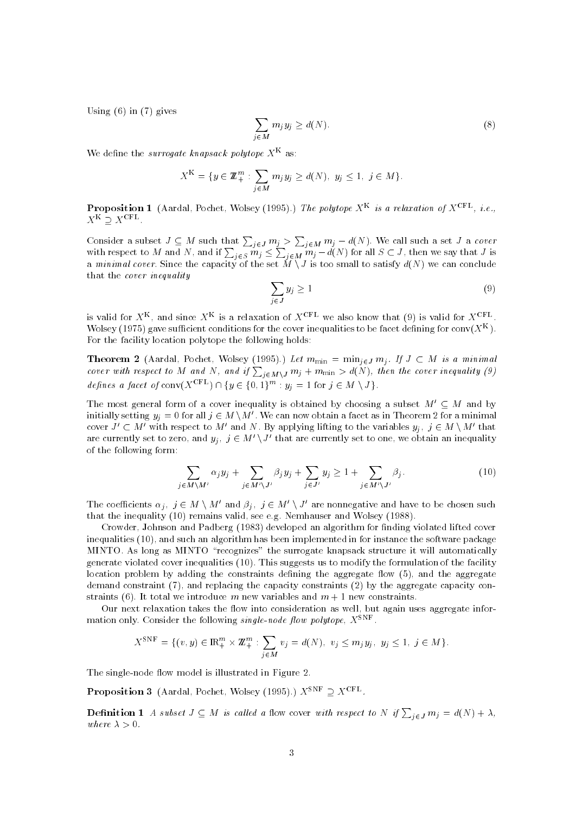Using  $(6)$  in  $(7)$  gives

$$
\sum_{j \in M} m_j y_j \ge d(N). \tag{8}
$$

We define the surrogate knapsack polytope  $X^+$  as:

$$
X^{K} = \{ y \in \mathbb{Z}_{+}^{m} : \sum_{j \in M} m_{j} y_{j} \ge d(N), y_{j} \le 1, j \in M \}.
$$

**Proposition 1** (Aardal, Pochet, Wolsey (1995).) The polytope  $X^+$  is a relaxation of  $X^{++}$ , i.e.,  $X^{K} \supseteq X^{CFL}$  .

Consider a subset  $J\subseteq M$  such that  $\sum_{j\in J}m_j>\sum_{j\in M}m_j-d(N).$  We call such a set  $J$  a cover with respect to M and N, and if  $\sum_{j \in S} m_j \leq \sum_{j \in M} m_j - d(N)$  for all  $S \subset J$ , then we say that  $J$  is a minimal cover. Since the capacity of the set  $M \setminus J$  is too small to satisfy  $d(N)$  we can conclude that the cover inequality

$$
\sum_{j \in J} y_j \ge 1 \tag{9}
$$

is valid for  $X^{\pm}$ , and since  $X^{\pm}$  is a relaxation of  $X^{\pm\pm}$  we also know that (9) is valid for  $X^{\pm\pm}$ .<br>Wolsey (1975) gave sufficient conditions for the cover inequalities to be facet defining for conv(X<sup>K</sup>). For the facility location polytope the following holds:

**Theorem 2** (Aardal, Pochet, Wolsey (1995).) Let  $m_{\min} = \min_{j \in J} m_j$ . If  $J \subset M$  is a minimal cover with respect to M and N, and if  $\sum_{j\in M\setminus J}m_j+m_{\min}>d(N)$ , then the cover inequality (9) **Theorem 2** (Aardal, Pochet, Wolsey (1995).) Let  $m_{\min} = \min_{j \in J} m_j$ <br>cover with respect to M and N, and if  $\sum_{j \in M \setminus J} m_j + m_{\min} > d(N)$ , the<br>defines a facet of conv( $X^{\text{CFL}}$ )  $\cap$  { $y \in \{0, 1\}^m : y_j = 1$  for  $j \in M \setminus J$ }.

The most general form of a cover inequality is obtained by choosing a subset  $M' \subset M$  and by initially setting  $y_j = 0$  for all  $j \in M \setminus M'$ . We can now obtain a facet as in Theorem 2 for a minimal cover  $J' \subset M'$  with respect to M' and N. By applying lifting to the variables  $y_j$ ,  $j \in M \setminus M'$  that are currently set to zero, and  $y_j$ ,  $j \in M' \backslash J'$  that are currently set to one, we obtain an inequality of the following form:

$$
\sum_{j \in M \setminus M'} \alpha_j y_j + \sum_{j \in M' \setminus J'} \beta_j y_j + \sum_{j \in J'} y_j \ge 1 + \sum_{j \in M' \setminus J'} \beta_j.
$$
 (10)

The coefficients  $\alpha_j$ ,  $j \in M \setminus M'$  and  $\beta_j$ ,  $j \in M' \setminus J'$  are nonnegative and have to be chosen such that the inequality (10) remains valid, see e.g. Nemhauser and Wolsey (1988).

Crowder, Johnson and Padberg (1983) developed an algorithm for finding violated lifted cover inequalities (10), and such an algorithm has been implemented in for instance the software package MINTO. As long as MINTO "recognizes" the surrogate knapsack structure it will automatically generate violated cover inequalities (10). This suggests us to modify the formulation of the facility location problem by adding the constraints defining the aggregate flow  $(5)$ , and the aggregate demand constraint (7), and replacing the capacity constraints (2) by the aggregate capacity constraints (6). It total we introduce m new variables and  $m + 1$  new constraints.

Our next relaxation takes the flow into consideration as well, but again uses aggregate information only. Consider the following single-node flow polytope,  $X^{\pm\pm\mp}$  .

$$
X^{\text{SNF}} = \{ (v, y) \in \mathbb{R}_+^m \times \mathbb{Z}_+^m : \sum_{j \in M} v_j = d(N), v_j \le m_j y_j, y_j \le 1, j \in M \}.
$$

The single-node flow model is illustrated in Figure 2.

**Proposition 3** (Aardal, Pochet, Wolsey (1995).)  $X^{\text{SNF}} \supset X^{\text{CFL}}$ .

**Definition 1** A subset  $J \subseteq M$  is called a flow cover with respect to N if  $\sum_{j \in J} m_j = d(N) + \lambda$ , where  $\lambda > 0$ .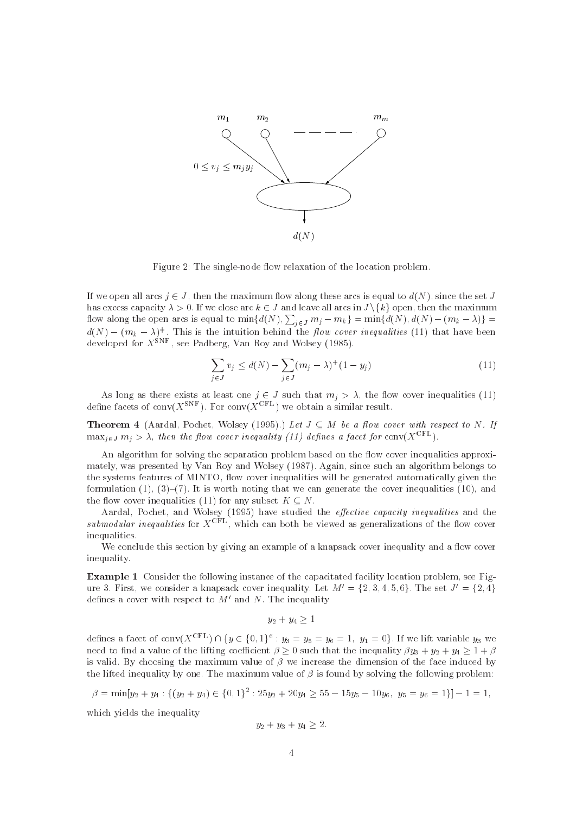

Figure 2: The single-node flow relaxation of the location problem.

If we open all arcs  $j \in J$ , then the maximum flow along these arcs is equal to  $d(N)$ , since the set J has excess capacity  $\lambda > 0$ . If we close arc  $k \in J$  and leave all arcs in  $J \setminus \{k\}$  open, then the maximum flow along the open arcs is equal to  $\min\{d(N),\sum_{j\in J}m_j-m_k\}=\min\{d(N),d(N)-(m_k-\lambda)\}=$  $d(N) - (m_k - \lambda)^+$ . This is the intuition behind the flow cover inequalities (11) that have been<br>developed for  $X^{\text{SNF}}$ , see Padberg, Van Roy and Wolsey (1985).

$$
\sum_{j \in J} v_j \le d(N) - \sum_{j \in J} (m_j - \lambda)^+ (1 - y_j) \tag{11}
$$

As long as there exists at least one  $j \in J$  such that  $m_j > \lambda$ , the flow cover inequalities (11) define facets of conv( $X^{++}$ ). For conv( $X^{++}$ ) we obtain a similar result.

**Theorem 4** (Aardal, Pochet, Wolsey (1995).) Let  $J \subseteq M$  be a flow cover with respect to N. If  $\max_{j\in J} m_j > \lambda$ , then the flow cover inequality (11) defines a facet for conv(X<sup>CFL</sup>).

An algorithm for solving the separation problem based on the flow cover inequalities approximately, was presented by Van Roy and Wolsey (1987). Again, since such an algorithm belongs to the systems features of MINTO, flow cover inequalities will be generated automatically given the formulation  $(1), (3)-(7)$ . It is worth noting that we can generate the cover inequalities (10), and the flow cover inequalities (11) for any subset  $K \subseteq N$ .

Aardal, Pochet, and Wolsey (1995) have studied the effective capacity inequalities and the submodular inequalities for  $X^{\text{CFL}}$ , which can both be viewed as generalizations of the flow cover inequalities.

We conclude this section by giving an example of a knapsack cover inequality and a flow cover inequality.

Example 1 Consider the following instance of the capacitated facility location problem, see Figure 3. First, we consider a knapsack cover inequality. Let  $M' = \{2, 3, 4, 5, 6\}$ . The set  $J' = \{2, 4\}$ defines a cover with respect to  $M'$  and N. The inequality

 $y_2 + y_4 \geq 1$ 

 $y_2 + y_4 \ge 1$ <br>defines a facet of conv( $X^{\text{CFL}}$ )  $\cap$  { $y \in \{0, 1\}^6$ :  $y_3 = y_5 = y_6 = 1$ ,  $y_1 = 0$ }. If we lift variable  $y_3$  we need to find a value of the lifting coefficient  $\beta > 0$  such that the inequality  $\beta y_3 + y_2 + y_4 > 1 + \beta$ is valid. By choosing the maximum value of  $\beta$  we increase the dimension of the face induced by the lifted inequality by one. The maximum value of  is found by solving the following problem: the lifted inequality by one. The maximu<br>  $\beta = \min[y_2 + y_4 : \{(y_2 + y_4) \in \{0, 1\}^2 : 2]$ 

$$
\beta = \min[y_2 + y_4 : \{(y_2 + y_4) \in \{0, 1\}^2 : 25y_2 + 20y_4 \ge 55 - 15y_5 - 10y_6, y_5 = y_6 = 1\}] - 1 = 1,
$$

which yields the inequality

$$
y_2 + y_3 + y_4 \ge 2.
$$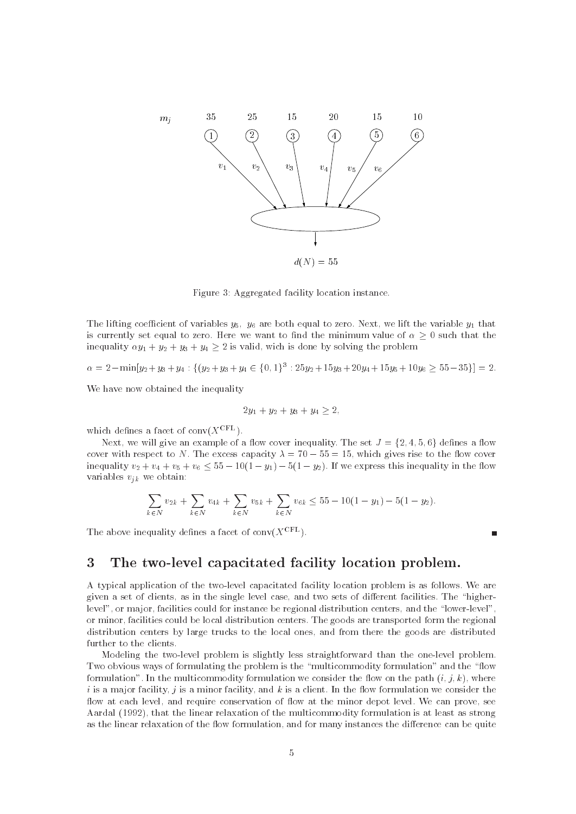

Figure 3: Aggregated facility location instance.

The lifting coefficient of variables  $y_5$ ,  $y_6$  are both equal to zero. Next, we lift the variable  $y_1$  that is currently set equal to zero. Here we want to find the minimum value of  $\alpha \geq 0$  such that the inequality  $\alpha y_1 + y_2 + y_3 + y_4 \ge 2$  is valid, wich is done by solving the problem<br>  $\alpha = 2 - \min[y_2 + y_3 + y_4] : \{(y_2 + y_3 + y_4 \in \{0, 1\}^3 : 25y_2 + 15y_3 + 20y_4 + 15y_5 + 10y_6 > 5y_4\}]$ 

$$
\alpha = 2 - \min[y_2 + y_3 + y_4] : \{ (y_2 + y_3 + y_4 \in \{0, 1\}^3 : 25y_2 + 15y_3 + 20y_4 + 15y_5 + 10y_6 \ge 55 - 35 \}] = 2.
$$

We have now obtained the inequality

$$
2y_1 + y_2 + y_3 + y_4 \ge 2,
$$

which defines a facet of  $conv(X^{\text{CFL}})$ .

Next, we will give an example of a flow cover inequality. The set  $J = \{2, 4, 5, 6\}$  defines a flow cover with respect to N. The excess capacity  $\lambda = 70 - 55 = 15$ , which gives rise to the flow cover inequality  $v_2 + v_4 + v_5 + v_6 \leq 55 - 10(1 - y_1) - 5(1 - y_2)$ . If we express this inequality in the flow variables  $v_{jk}$  we obtain:

$$
\sum_{k \in N} v_{2k} + \sum_{k \in N} v_{4k} + \sum_{k \in N} v_{5k} + \sum_{k \in N} v_{6k} \le 55 - 10(1 - y_1) - 5(1 - y_2).
$$

The above inequality defines a facet of  $conv(X^{\text{CFL}})$ .

#### 3The two-level capacitated facility location problem.

A typical application of the two-level capacitated facility location problem is as follows. We are given a set of clients, as in the single level case, and two sets of different facilities. The "higherlevel", or major, facilities could for instance be regional distribution centers, and the "lower-level" or minor, facilities could be local distribution centers. The goods are transported form the regional distribution centers by large trucks to the local ones, and from there the goods are distributed further to the clients.

Modeling the two-level problem is slightly less straightforward than the one-level problem. Two obvious ways of formulating the problem is the "multicommodity formulation" and the "flow formulation". In the multicommodity formulation we consider the flow on the path  $(i, j, k)$ , where  $i$  is a major facility,  $j$  is a minor facility, and  $k$  is a client. In the flow formulation we consider the flow at each level, and require conservation of flow at the minor depot level. We can prove, see Aardal (1992), that the linear relaxation of the multicommodity formulation is at least as strong as the linear relaxation of the flow formulation, and for many instances the difference can be quite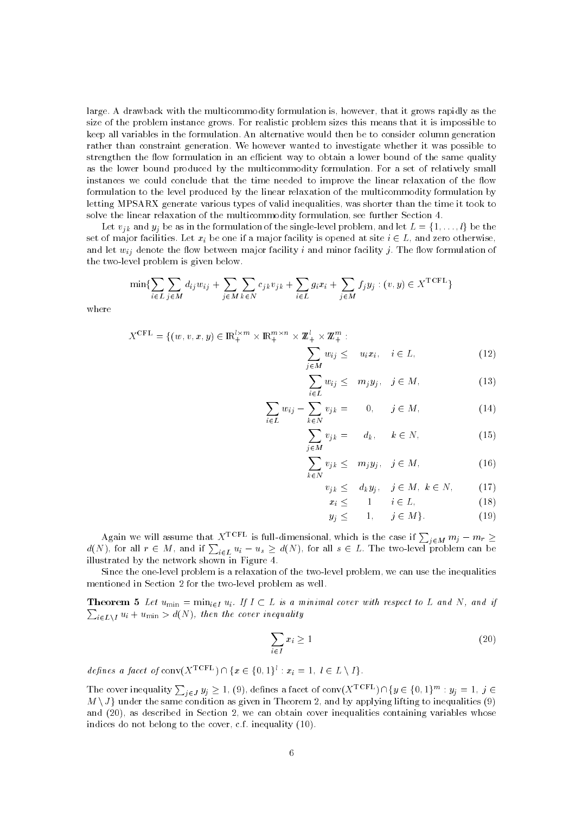large. A drawback with the multicommodity formulation is, however, that it grows rapidly as the size of the problem instance grows. For realistic problem sizes this means that it is impossible to keep all variables in the formulation. An alternative would then be to consider column generation rather than constraint generation. We however wanted to investigate whether it was possible to strengthen the flow formulation in an efficient way to obtain a lower bound of the same quality as the lower bound produced by the multicommodity formulation. For a set of relatively small instances we could conclude that the time needed to improve the linear relaxation of the flow formulation to the level produced by the linear relaxation of the multicommodity formulation by letting MPSARX generate various types of valid inequalities, was shorter than the time it took to solve the linear relaxation of the multicommodity formulation, see further Section 4.

Let  $v_{ik}$  and  $y_i$  be as in the formulation of the single-level problem, and let  $L = \{1, \ldots, l\}$  be the set of major facilities. Let  $x_i$  be one if a major facility is opened at site  $i \in L$ , and zero otherwise, and let  $w_{ij}$  denote the flow between major facility i and minor facility j. The flow formulation of the two-level problem is given below.

$$
\min\{\sum_{i\in L}\sum_{j\in M}d_{ij}w_{ij} + \sum_{j\in M}\sum_{k\in N}c_{jk}v_{jk} + \sum_{i\in L}g_ix_i + \sum_{j\in M}f_jy_j : (v, y) \in X^{\text{TCFL}}\}
$$

where

$$
X^{\text{CFL}} = \{ (w, v, x, y) \in \mathbb{R}_+^{l \times m} \times \mathbb{R}_+^{m \times n} \times \mathbb{Z}_+^l \times \mathbb{Z}_+^m : \sum_{j \in M} w_{ij} \leq u_i x_i, \quad i \in L, \tag{12}
$$

$$
\sum_{i \in L} w_{ij} \leq m_j y_j, \quad j \in M,
$$
\n(13)

$$
\sum_{i \in L} w_{ij} - \sum_{k \in N} v_{jk} = 0, \quad j \in M,
$$
\n(14)

$$
\sum_{j \in M} v_{jk} = d_k, \quad k \in N,
$$
\n(15)

$$
\sum_{k \in N} v_{j,k} \leq m_j y_j, \quad j \in M,
$$
\n(16)

$$
v_{j,k} \leq d_k y_j, \quad j \in M, \ k \in N, \tag{17}
$$

$$
x_i \leq 1 \qquad i \in L,\tag{18}
$$

$$
y_j \leq 1, \quad j \in M \}.
$$
 (19)

Again we will assume that  $X^{\text{TCFL}}$  is full-dimensional, which is the case if  $\sum_{j \in M} m_j - m_r \geq 1$  $d(N)$ , for all  $r \in M$ , and if  $\sum_{i \in L} u_i - u_s \geq d(N)$ , for all  $s \in L$ . The two-level problem can be illustrated by the network shown in Figure 4.

Since the one-level problem is a relaxation of the two-level problem, we can use the inequalities mentioned in Section 2 for the two-level problem as well.

**Theorem 5** Let  $u_{\min} = \min_{i \in I} u_i$ . If  $I \subset L$  is a minimal cover with respect to L and N, and if  $\sum_{i\in L\backslash I}u_i+u_{\min}>d(N),$  then the cover inequality

$$
\sum_{i \in I} x_i \ge 1 \tag{20}
$$

defines a facet of  $\text{conv}(X^{\text{TCFL}}) \cap \{x \in \{0, 1\}^l : x_i = 1, l \in L \setminus I\}.$ 

*defines a facet of* conv $(X^{\text{TCFL}}) \cap \{x \in \{0, 1\}^l : x_i = 1, l \in L \setminus I\}$ .<br>The cover inequality  $\sum_{j \in J} y_j \ge 1$ , (9), defines a facet of conv $(X^{\text{TCFL}}) \cap \{y \in \{0, 1\}^m : y_j = 1, j \in I\}$  $M \setminus J$  under the same condition as given in Theorem 2, and by applying lifting to inequalities (9) and (20), as described in Section 2, we can obtain cover inequalities containing variables whose indices do not belong to the cover, c.f. inequality (10).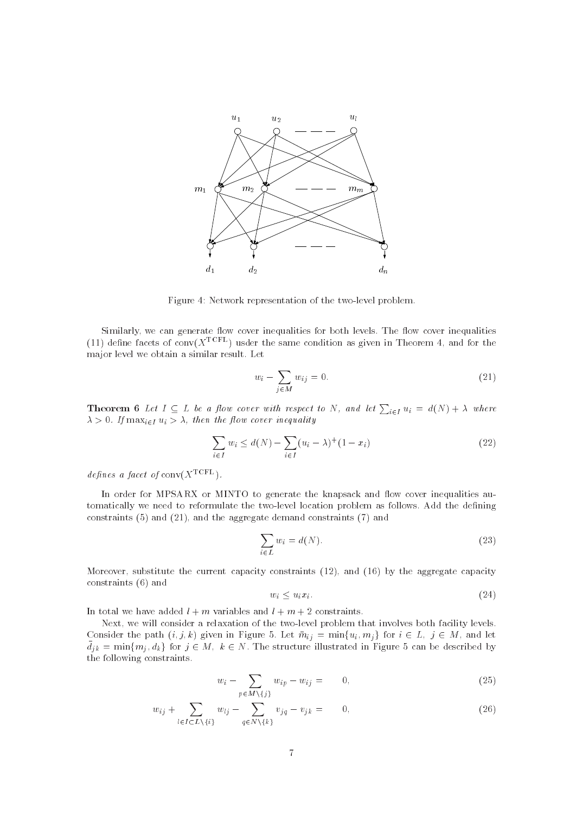

Figure 4: Network representation of the two-level problem.

Similarly, we can generate flow cover inequalities for both levels. The flow cover inequalities (11) define facets of conv $(X<sup>TCFL</sup>)$  usder the same condition as given in Theorem 4, and for the major level we obtain a similar result. Let

$$
w_i - \sum_{j \in M} w_{ij} = 0. \tag{21}
$$

**Theorem 6** Let  $I \subseteq L$  be a flow cover with respect to N, and let  $\sum_{i \in I} u_i = d(N) + \lambda$  where  $\lambda > 0$ . If  $\max_{i \in I} u_i > \lambda$ , then the flow cover inequality

$$
\sum_{i \in I} w_i \le d(N) - \sum_{i \in I} (u_i - \lambda)^+ (1 - x_i)
$$
\n(22)

defines a facet of  $conv(X^{TCFL})$ .

In order for MPSARX or MINTO to generate the knapsack and flow cover inequalities automatically we need to reformulate the two-level location problem as follows. Add the defining constraints (5) and (21), and the aggregate demand constraints (7) and

$$
\sum_{i \in L} w_i = d(N). \tag{23}
$$

Moreover, substitute the current capacity constraints (12), and (16) by the aggregate capacity constraints (6) and

$$
w_i \le u_i x_i. \tag{24}
$$

In total we have added  $l + m$  variables and  $l + m + 2$  constraints.

Next, we will consider a relaxation of the two-level problem that involves both facility levels. Consider the path  $(i, j, k)$  given in Figure 5. Let  $\overline{m}_{ij} = \min\{u_i, m_j\}$  for  $i \in L, j \in M$ , and let  $\bar{d}_{jk} = \min\{m_j, d_k\}$  for  $j \in M$ ,  $k \in N$ . The structure illustrated in Figure 5 can be described by the following constraints.

$$
w_i - \sum_{p \in M \setminus \{j\}} w_{ip} - w_{ij} = 0, \qquad (25)
$$

$$
w_{ij} + \sum_{l \in I \subset L \setminus \{i\}} w_{lj} - \sum_{q \in N \setminus \{k\}} v_{jq} - v_{jk} = 0, \qquad (26)
$$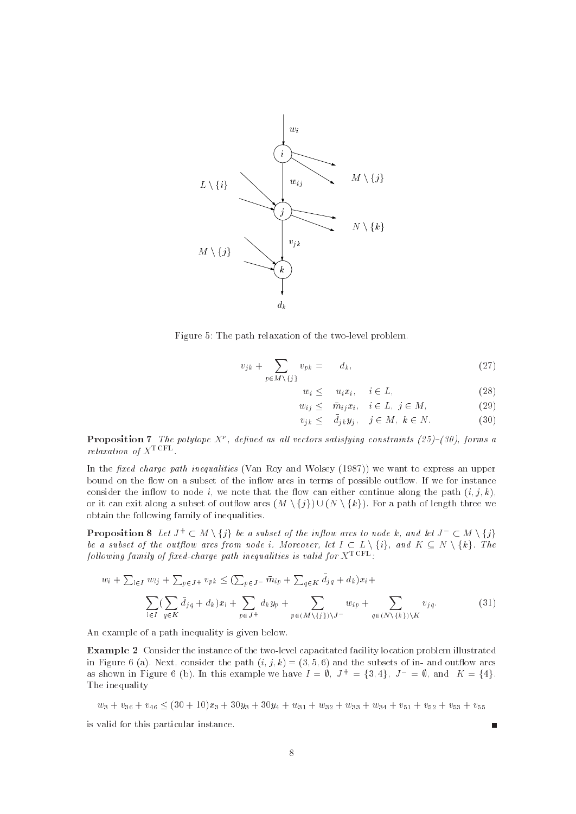



$$
v_{jk} + \sum_{p \in M \setminus \{j\}} v_{pk} = d_k, \tag{27}
$$

$$
w_i \leq u_i x_i, \quad i \in L,\tag{28}
$$

$$
w_{ij} \leq \bar{m}_{ij} x_i, \quad i \in L, \ j \in M,
$$
\n
$$
(29)
$$

$$
v_{jk} \leq \bar{d}_{ik} y_i, \quad j \in M, \ k \in N. \tag{30}
$$

**Proposition** ( The polytope  $X$  , defined as all vectors satisfying constraints (25)=(30), forms a  $relaxation$  of  $X^{\text{\scriptsize{TCFL}}}$ 

In the fixed charge path inequalities (Van Roy and Wolsey  $(1987)$ ) we want to express an upper bound on the flow on a subset of the inflow arcs in terms of possible outflow. If we for instance consider the interest to note that the motor them the path (including the path  $\{1,1\}$ ,  $\{1,2\}$ bound on the flow on a subset of the inflow arcs in terms of possible outflow. If we for instance<br>consider the inflow to node *i*, we note that the flow can either continue along the path  $(i, j, k)$ ,<br>or it can exit along a obtain the following family of inequalities. or it can exit along a subset of outflow arcs  $(M \setminus \{j\}) \cup (N \setminus \{k\})$ . For a path of length three we<br>obtain the following family of inequalities.<br>**Proposition 8** Let  $J^+ \subset M \setminus \{j\}$  be a subset of the inflow arcs to node

**Proposition 8** Let  $J^+ \subset M \setminus \{j\}$  be a subset of the inflow arcs to node k, and let  $J^- \subset M \setminus \{j\}$ <br>be a subset of the outflow arcs from node i. Moreover, let  $I \subset L \setminus \{i\}$ , and  $K \subset N \setminus \{k\}$ . The following family of fixed-charge pain inequalities is valia for  $X^{++-+}$  :

$$
w_i + \sum_{l \in I} w_{lj} + \sum_{p \in J^+} v_{pk} \le (\sum_{p \in J^-} \bar{m}_{ip} + \sum_{q \in K} \bar{d}_{jq} + d_k) x_i + \sum_{l \in I} (\sum_{q \in K} \bar{d}_{jq} + d_k) x_l + \sum_{p \in J^+} d_k y_p + \sum_{p \in (M \setminus \{j\}) \setminus J^-} w_{ip} + \sum_{q \in (N \setminus \{k\}) \setminus K} v_{jq}.
$$
 (31)

An example of a path inequality is given below.

Example 2 Consider the instance of the two-level capacitated facility location problem illustrated in Figure 6 (a). Next, consider the path  $(i, j, k) = (3, 5, 6)$  and the subsets of in- and outflow arcs as shown in Figure 6 (b). In this example we have  $I = \emptyset$ ,  $J^+ = \{3, 4\}$ ,  $J^- = \emptyset$ , and  $K = \{4\}$ . The inequality

 $w_3 + v_{36} + v_{46} \leq (30 + 10)x_3 + 30y_3 + 30y_4 + w_{31} + w_{32} + w_{33} + w_{34} + v_{51} + v_{52} + v_{53} + v_{55}$ 

is valid for this particular instance.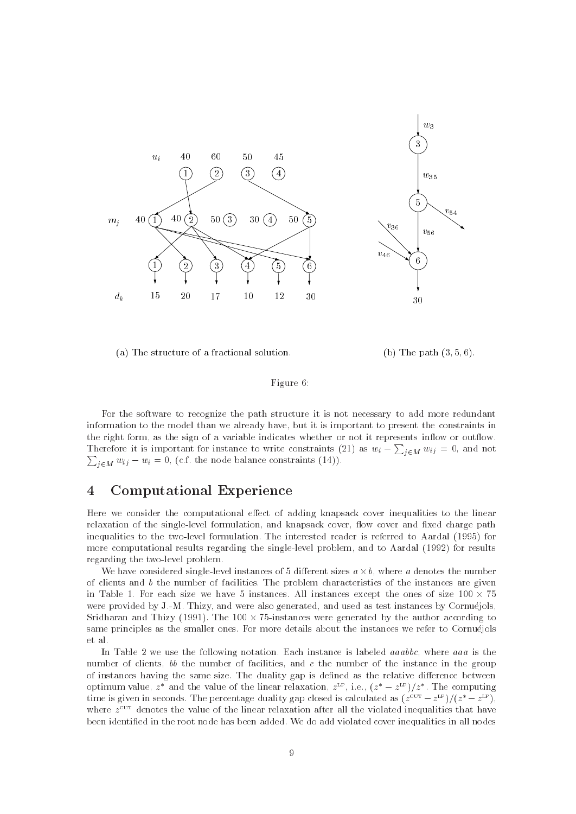

(a) The structure of a fractional solution. (b) The path  $(3,5,6)$ .

## Figure 6:

For the software to recognize the path structure it is not necessary to add more redundant information to the model than we already have, but it is important to present the constraints in the right form, as the sign of a variable indicates whether or not it represents inflow or outflow. Therefore it is important for instance to write constraints (21) as  $w_i - \sum_{j \in M} w_{ij} = 0$ , and not  $\sum_{i \in M} w_{ij} - w_i = 0$ , (c.f. the node balance constraints (14)).

#### 4Computational Experience

Here we consider the computational effect of adding knapsack cover inequalities to the linear relaxation of the single-level formulation, and knapsack cover, flow cover and fixed charge path inequalities to the two-level formulation. The interested reader is referred to Aardal (1995) for more computational results regarding the single-level problem, and to Aardal (1992) for results regarding the two-level problem.

We have considered single-level instances of 5 different sizes  $a \times b$ , where a denotes the number of clients and  $b$  the number of facilities. The problem characteristics of the instances are given in Table 1. For each size we have 5 instances. All instances except the ones of size  $100 \times 75$ were provided by J.-M. Thizy, and were also generated, and used as test instances by Cornuejols, Sridharan and Thizy (1991). The 100  $\times$  75-instances were generated by the author according to same principles as the smaller ones. For more details about the instances we refer to Cornuejols et al.

In Table 2 we use the following notation. Each instance is labeled *aaabbc*, where *aaa* is the number of clients, bb the number of facilities, and c the number of the instance in the group of instances having the same size. The duality gap is defined as the relative difference between optimum value,  $z^*$  and the value of the linear relaxation,  $z^{\text{LP}}$ , i.e.,  $(z^* - z^{\text{LP}})/z^*$ . The computing time is given in seconds. The percentage duality gap closed is calculated as  $(z^{\text{cut}} - z^{\text{LP}})/(z^* - z^{\text{LP}})$ . where  $z^{\pm\pm}$  denotes the value of the linear relaxation after all the violated inequalities that have  $$ been identified in the root node has been added. We do add violated cover inequalities in all nodes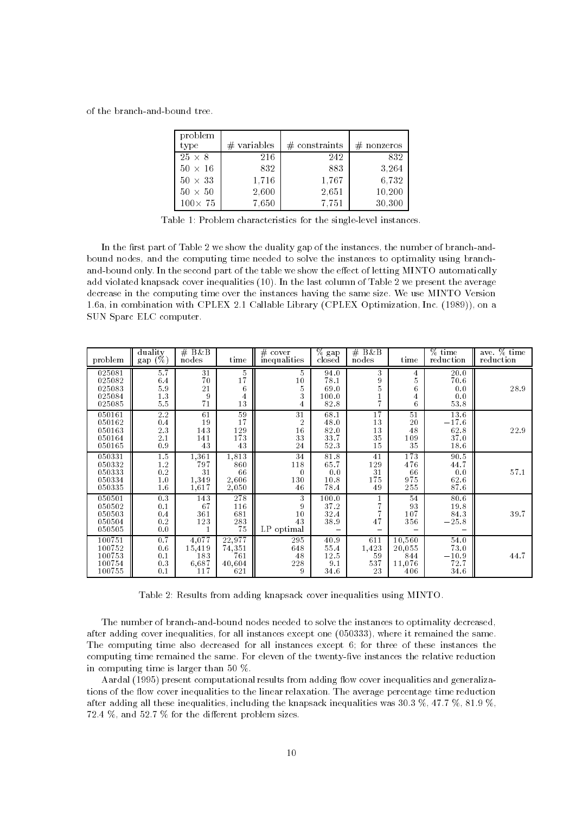of the branch-and-bound tree.

| problem<br>type | $#$ variables | $#$ constraints | $#$ nonzeros |
|-----------------|---------------|-----------------|--------------|
| $25 \times 8$   | 216           | 242             | 832          |
| $50 \times 16$  | 832           | 883             | 3.264        |
| $50 \times 33$  | 1,716         | 1,767           | 6,732        |
| $50 \times 50$  | 2,600         | 2.651           | 10,200       |
| $100 \times 75$ | 7.650         | 7.751           | 30,300       |

Table 1: Problem characteristics for the single-level instances.

In the first part of Table 2 we show the duality gap of the instances, the number of branch-andbound nodes, and the computing time needed to solve the instances to optimality using branchand-bound only. In the second part of the table we show the effect of letting MINTO automatically add violated knapsack cover inequalities (10). In the last column of Table 2 we present the average decrease in the computing time over the instances having the same size. We use MINTO Version 1.6a, in combination with CPLEX 2.1 Callable Library (CPLEX Optimization, Inc. (1989)), on a SUN Sparc ELC computer.

| problem                                        | duality<br>$(\%)$<br>gap (                  | # $B\&\overline{B}$<br>nodes                                          | time                                         | $#$ cover<br>inequalities              | $\overline{\%}$ gap<br>closed         | $#$ B&B<br>nodes                | time                                                  | % time<br>reduction                     | ave. % time<br>reduction |
|------------------------------------------------|---------------------------------------------|-----------------------------------------------------------------------|----------------------------------------------|----------------------------------------|---------------------------------------|---------------------------------|-------------------------------------------------------|-----------------------------------------|--------------------------|
| 025081<br>025082<br>025083<br>025084<br>025085 | 5.7<br>6.4<br>$5\,.9$<br>$1.3\,$<br>$5.5\,$ | 31<br>70<br>21<br>9<br>71                                             | 5<br>$1\bar{7}$<br>6<br>$\overline{4}$<br>13 | 5<br>10<br>5<br>3<br>$\overline{4}$    | 94.0<br>78.1<br>69.0<br>100.0<br>82.8 | 3<br>9<br>5<br>$\frac{1}{7}$    | $\overline{4}$<br>$\bf 5$<br>6<br>$\overline{4}$<br>6 | 20.0<br>70.6<br>0.0<br>0.0<br>53.8      | 28.9                     |
| 050161<br>050162<br>050163<br>050164<br>050165 | $2.2\,$<br>0.4<br>$2\,.3$<br>2.1<br>$0.9\,$ | 61<br>19<br>143<br>141<br>43                                          | 59<br>17<br>129<br>173<br>43                 | 31<br>$\overline{2}$<br>16<br>33<br>24 | 68.1<br>48.0<br>82.0<br>33.7<br>52.3  | 17<br>13<br>13<br>35<br>15      | 51<br>20<br>48<br>109<br>35                           | 13.6<br>$-17.6$<br>62.8<br>37.0<br>18.6 | 22.9                     |
| 050331<br>050332<br>050333<br>050334<br>050335 | 1.5<br>$1.2\,$<br>$0\,.2$<br>1.0<br>1.6     | 1,361<br>797<br>31<br>1,349<br>1,617                                  | 1,813<br>860<br>66<br>2,606<br>2,050         | 34<br>118<br>$\theta$<br>130<br>46     | 81.8<br>65.7<br>0.0<br>10.8<br>78.4   | 41<br>129<br>31<br>175<br>49    | 173<br>476<br>66<br>975<br>255                        | 90.5<br>44.7<br>0.0<br>62.6<br>87.6     | 57.1                     |
| 050501<br>050502<br>050503<br>050504<br>050505 | 0.3<br>0.1<br>0.4<br>0.2<br>$0.0$           | 143<br>67<br>361<br>123                                               | 278<br>116<br>681<br>283<br>75               | 3<br>9<br>10<br>43<br>LP optimal       | 100.0<br>$3\,7.2$<br>32.4<br>38.9     | 1<br>47                         | 54<br>93<br>107<br>356                                | 80.6<br>19.8<br>84.3<br>$-25.8$         | 39.7                     |
| 100751<br>100752<br>100753<br>100754<br>100755 | 0.7<br>$0.6\,$<br>0.1<br>0.3<br>0.1         | 4.077<br>$\begin{array}{c} 15,419 \\ 183 \end{array}$<br>6,687<br>117 | 22,977<br>$74,351$<br>$761$<br>40,604<br>621 | 295<br>648<br>48<br>228<br>9           | 40.9<br>55.4<br>12.5<br>9.1<br>34.6   | 611<br>1,423<br>59<br>537<br>23 | 10,560<br>$\frac{20,055}{844}$<br>11,076<br>406       | 54.0<br>73.0<br>$-10.9$<br>72.7<br>34.6 | 44.7                     |

Table 2: Results from adding knapsack cover inequalities using MINTO.

The number of branch-and-bound nodes needed to solve the instances to optimality decreased, after adding cover inequalities, for all instances except one (050333), where it remained the same. The computing time also decreased for all instances except 6; for three of these instances the computing time remained the same. For eleven of the twenty-five instances the relative reduction in computing time is larger than 50 %.

Aardal (1995) present computational results from adding flow cover inequalities and generalizations of the flow cover inequalities to the linear relaxation. The average percentage time reduction after adding all these inequalities, including the knapsack inequalities was 30.3 %, 47.7 %, 81.9 %,  $72.4\%$ , and  $52.7\%$  for the different problem sizes.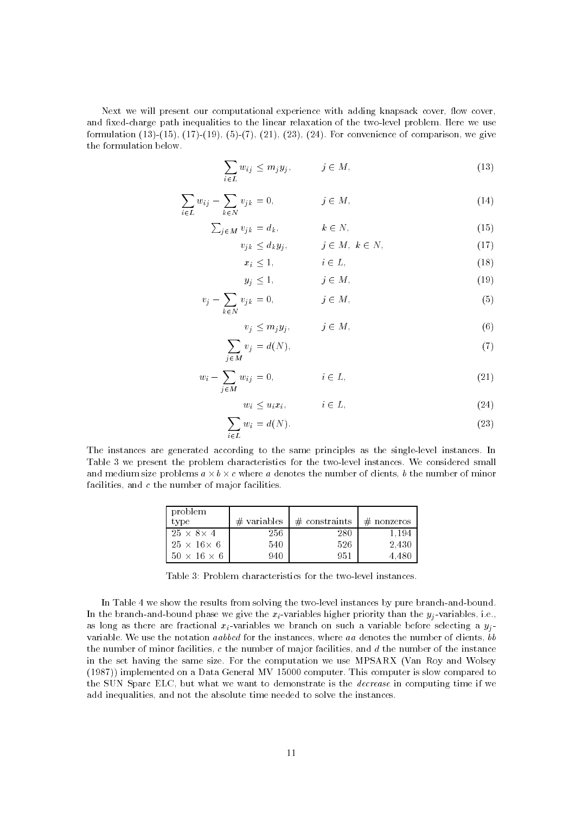Next we will present our computational experience with adding knapsack cover, flow cover, and fixed-charge path inequalities to the linear relaxation of the two-level problem. Here we use formulation  $(13)-(15)$ ,  $(17)-(19)$ ,  $(5)-(7)$ ,  $(21)$ ,  $(23)$ ,  $(24)$ . For convenience of comparison, we give the formulation below.

$$
\sum_{i \in L} w_{ij} \le m_j y_j, \qquad j \in M,
$$
\n(13)

$$
\sum_{i \in L} w_{ij} - \sum_{k \in N} v_{jk} = 0, \qquad j \in M,
$$
\n(14)

$$
\sum_{j \in M} v_{j,k} = d_k, \qquad k \in N,
$$
\n(15)

$$
v_{j,k} \le d_k y_j, \qquad j \in M, \ k \in N,
$$
\n<sup>(17)</sup>

$$
x_i \le 1,\n\qquad i \in L,\n\tag{18}
$$
\n
$$
\le 1,\n\tag{19}
$$

$$
y_j \le 1, \qquad j \in M,\tag{19}
$$

$$
v_j - \sum_{k \in N} v_{jk} = 0, \qquad j \in M,
$$
\n<sup>(5)</sup>

$$
v_j \le m_j y_j, \qquad j \in M,\tag{6}
$$

$$
\sum_{j \in M} v_j = d(N),\tag{7}
$$

$$
w_i - \sum_{j \in M} w_{ij} = 0, \qquad i \in L, \tag{21}
$$

$$
w_i \le u_i x_i, \qquad i \in L,\tag{24}
$$

$$
\sum_{i \in L} w_i = d(N). \tag{23}
$$

The instances are generated according to the same principles as the single-level instances. In Table 3 we present the problem characteristics for the two-level instances. We considered small and medium size problems  $a \times b \times c$  where a denotes the number of clients, b the number of minor facilities, and  $c$  the number of major facilities.

| problem<br>type         | $\#$ variables | $#$ constraints | $#$ nonzeros |
|-------------------------|----------------|-----------------|--------------|
| $25 \times 8 \times 4$  | 256            | 280             | 1.194        |
| $25 \times 16 \times 6$ | 540            | 526             | 2.430        |
| $50 \times 16 \times 6$ | 940            | 951             | 4.480        |

Table 3: Problem characteristics for the two-level instances.

In Table 4 we show the results from solving the two-level instances by pure branch-and-bound. In the branch-and-bound phase we give the  $x_i$ -variables higher priority than the  $y_i$ -variables, i.e., as long as there are fractional  $x_i$ -variables we branch on such a variable before selecting a  $y_i$ variable. We use the notation aabbcd for the instances, where aa denotes the number of clients, bb the number of minor facilities,  $c$  the number of major facilities, and  $d$  the number of the instance in the set having the same size. For the computation we use MPSARX (Van Roy and Wolsey (1987)) implemented on a Data General MV 15000 computer. This computer is slow compared to the SUN Sparc ELC, but what we want to demonstrate is the decrease in computing time if we add inequalities, and not the absolute time needed to solve the instances.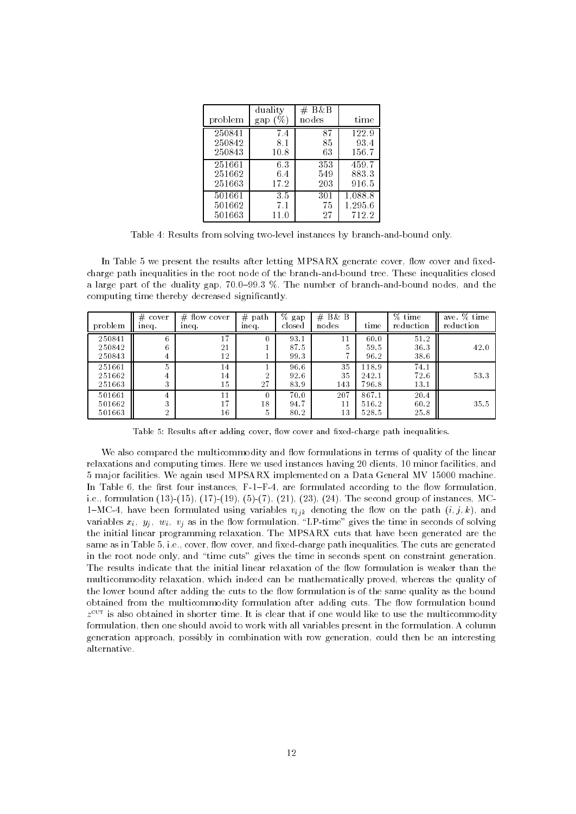| problem | duality<br>gap | $#$ B&B<br>nodes | time    |
|---------|----------------|------------------|---------|
| 250841  | 7.4            | 87               | 122.9   |
| 250842  | 8.1            | 85               | 93.4    |
| 250843  | 10.8           | 63               | 156.7   |
| 251661  | 6.3            | 353              | 459.7   |
| 251662  | 6.4            | 549              | 883.3   |
| 251663  | 17.2           | 203              | 916.5   |
| 501661  | 3.5            | 301              | 1,088.8 |
| 501662  | 7.1            | 75               | 1,295.6 |
| 501663  | 11.0           | 27               | 712.2   |

Table 4: Results from solving two-level instances by branch-and-bound only.

In Table 5 we present the results after letting MPSARX generate cover, flow cover and fixedcharge path inequalities in the root node of the branch-and-bound tree. These inequalities closed a large part of the duality gap, 70.0-99.3 %. The number of branch-and-bound nodes, and the computing time thereby decreased signicantly.

| problem                    | #<br>cover<br>ineq.      | $#$ flow cover<br>ineq. | #<br>path<br>ineq.  | %<br>gap<br>closed   | $#$ B& B<br>nodes | time                    | % time<br>reduction  | ave. % time<br>reduction |
|----------------------------|--------------------------|-------------------------|---------------------|----------------------|-------------------|-------------------------|----------------------|--------------------------|
| 250841<br>250842<br>250843 | 6<br>6<br>4              | 17<br>21<br>12          | 0                   | 93.1<br>87.5<br>99.3 | 11<br>5           | 60.0<br>59.5<br>96.2    | 51.2<br>36.3<br>38.6 | 42.0                     |
| 251661<br>251662<br>251663 | 5<br>4<br>3              | 14<br>14<br>15          | 2<br>27             | 96.6<br>92.6<br>83.9 | 35<br>35<br>143   | 118.9<br>242.1<br>796.8 | 74.1<br>72.6<br>13.1 | 53.3                     |
| 501661<br>501662<br>501663 | 4<br>3<br>$\overline{2}$ | 11<br>17<br>16          | $\theta$<br>18<br>5 | 70.0<br>94.7<br>80.2 | 207<br>11<br>13   | 867.1<br>516.2<br>528.5 | 20.4<br>60.2<br>25.8 | 35.5                     |

Table 5: Results after adding cover, flow cover and fixed-charge path inequalities.

We also compared the multicommodity and flow formulations in terms of quality of the linear relaxations and computing times. Here we used instances having 20 clients, 10 minor facilities, and 5 major facilities. We again used MPSARX implemented on a Data General MV 15000 machine. In Table 6, the first four instances,  $F-I-F-4$ , are formulated according to the flow formulation, i.e., formulation (13)-(15), (17)-(19), (5)-(7), (21), (23), (24). The second group of instances, MC-1-MC-4, have been formulated using variables  $v_{ijk}$  denoting the flow on the path  $(i, j, k)$ , and variables  $x_i$ ,  $y_i$ ,  $w_i$ ,  $v_j$  as in the flow formulation. "LP-time" gives the time in seconds of solving the initial linear programming relaxation. The MPSARX cuts that have been generated are the same as in Table 5, i.e., cover, flow cover, and fixed-charge path inequalities. The cuts are generated in the root node only, and "time cuts" gives the time in seconds spent on constraint generation. The results indicate that the initial linear relaxation of the flow formulation is weaker than the multicommodity relaxation, which indeed can be mathematically proved, whereas the quality of the lower bound after adding the cuts to the flow formulation is of the same quality as the bound obtained from the multicommodity formulation after adding cuts. The flow formulation bound  $z^{\texttt{new}}$  is also obtained in shorter time. It is clear that if one would like to use the multicommodity formulation, then one should avoid to work with all variables present in the formulation. A column generation approach, possibly in combination with row generation, could then be an interesting alternative.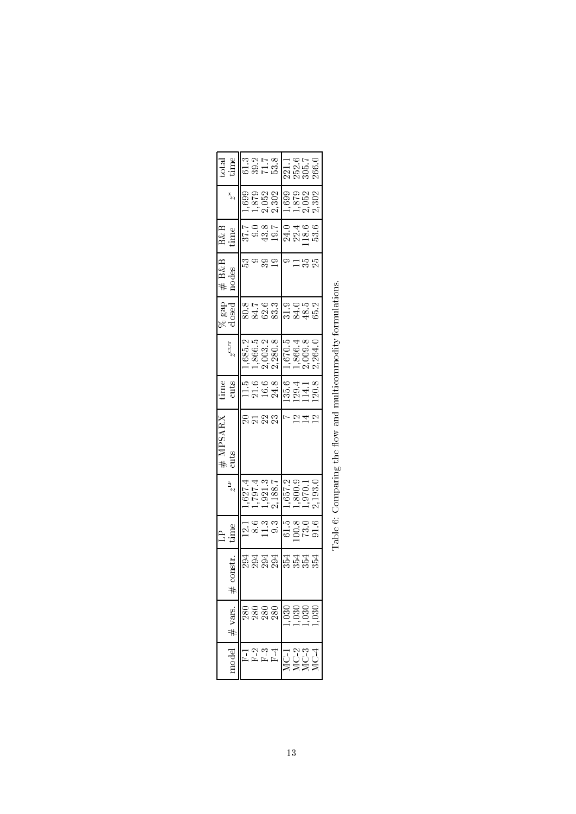|                    |              |                                        | $\mathbb{H}^{\mathbb{R}}$ |                                                                                                                                   | $#$ MPSARX<br>cuts                                          |                                                                                                                                                                                                                                                                                                               |                                                                        |                        | # B&B<br>nodes |                                                              |         |                                    |
|--------------------|--------------|----------------------------------------|---------------------------|-----------------------------------------------------------------------------------------------------------------------------------|-------------------------------------------------------------|---------------------------------------------------------------------------------------------------------------------------------------------------------------------------------------------------------------------------------------------------------------------------------------------------------------|------------------------------------------------------------------------|------------------------|----------------|--------------------------------------------------------------|---------|------------------------------------|
|                    | 井 vars.      | mstr.                                  |                           | $z_{\rm T}^2$                                                                                                                     |                                                             | time<br>cuts                                                                                                                                                                                                                                                                                                  | $z^{\rm{CUT}}$                                                         | ó gap<br>deg           |                | B&B<br>time                                                  | $\nu^*$ | $\frac{\text{total}}{\text{time}}$ |
|                    |              |                                        |                           |                                                                                                                                   |                                                             |                                                                                                                                                                                                                                                                                                               |                                                                        |                        |                |                                                              |         |                                    |
|                    |              |                                        |                           |                                                                                                                                   |                                                             |                                                                                                                                                                                                                                                                                                               |                                                                        |                        |                |                                                              |         |                                    |
|                    | 8888<br>8888 |                                        |                           |                                                                                                                                   |                                                             |                                                                                                                                                                                                                                                                                                               |                                                                        |                        |                |                                                              |         |                                    |
| $\frac{4}{5}$      |              | ತ್ವತ್ವ ವ್ಯಾಪ್ತವೆ<br>ವಿನವಪ್ರದ ವ್ಯಾಪ್ತವೆ |                           | $\begin{array}{l} 1,627.4 \\ 1,797.3 \\ 1,921.3 \\ 2,188.7 \\ 1,657.2 \\ 1,800.3 \\ 1,970.1 \\ 1,900.3 \\ 1,930.0 \\ \end{array}$ | –<br>ລິສລິສ                                                 | $\begin{array}{l} 1.56 \\ 1.66 \\ 2.88 \\ 3.99 \\ 1.90 \\ 1.31 \\ 1.20 \\ 1.21 \\ 1.20 \\ 1.21 \\ 1.20 \\ 1.21 \\ 1.22 \\ 1.23 \\ 1.24 \\ 1.25 \\ 1.26 \\ 1.27 \\ 1.28 \\ 1.29 \\ 1.23 \\ 1.25 \\ 1.26 \\ 1.27 \\ 1.28 \\ 1.29 \\ 1.29 \\ 1.23 \\ 1.25 \\ 1.29 \\ 1.29 \\ 1.23 \\ 1.25 \\ 1.27 \\ 1.29 \\ 1.$ | 1,685.2<br>1,866.3<br>2,003.2<br>2,009.8<br>1,670.98.264.0<br>2,264.02 | 832315346<br>833315346 | အီတိဆု         | $5 - 38 - 0$<br>$5 - 32 - 0$<br>$7 - 32 - 0$<br>$7 - 32 - 0$ |         | 93158<br>53158 116570<br>53158858  |
| <br> UUUU<br> XXXX |              |                                        |                           |                                                                                                                                   |                                                             |                                                                                                                                                                                                                                                                                                               |                                                                        |                        | 0135           |                                                              |         |                                    |
|                    |              |                                        |                           |                                                                                                                                   |                                                             |                                                                                                                                                                                                                                                                                                               |                                                                        |                        |                |                                                              |         |                                    |
|                    |              |                                        |                           |                                                                                                                                   |                                                             |                                                                                                                                                                                                                                                                                                               |                                                                        |                        |                |                                                              |         |                                    |
|                    |              |                                        |                           |                                                                                                                                   |                                                             |                                                                                                                                                                                                                                                                                                               |                                                                        |                        |                |                                                              |         |                                    |
|                    |              |                                        |                           |                                                                                                                                   | Table 6: Comparing the flow and multicommodity formulations |                                                                                                                                                                                                                                                                                                               |                                                                        |                        |                |                                                              |         |                                    |

Γ.

Table 6: Comparing the flow and multicommodity formulations. Table 6: Comparing the flow and multicommodity formulations.